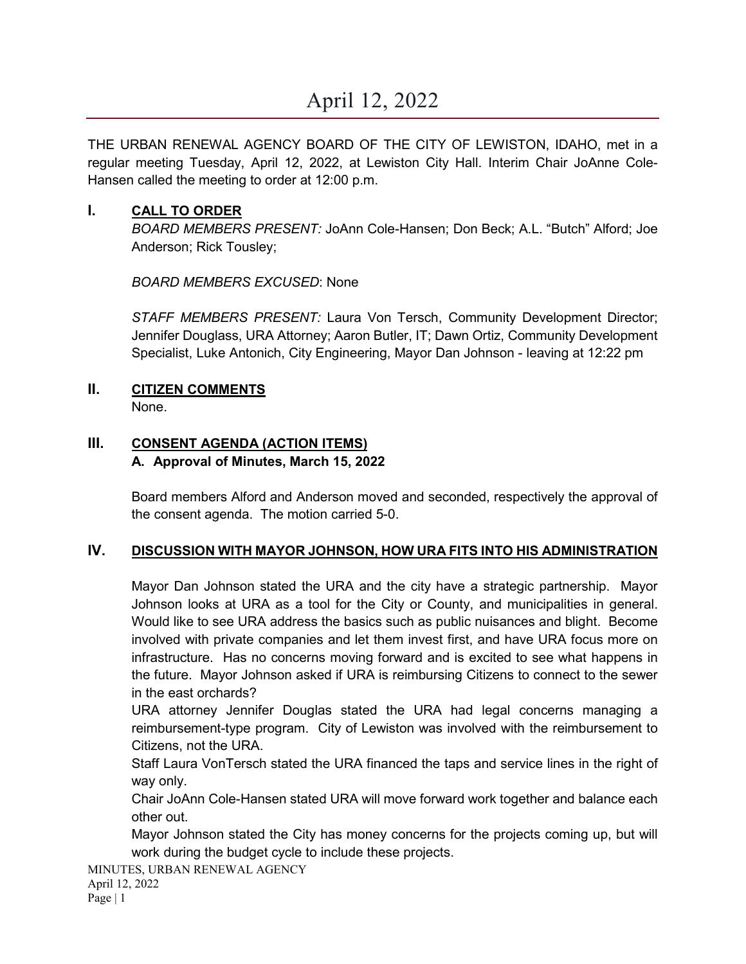THE URBAN RENEWAL AGENCY BOARD OF THE CITY OF LEWISTON, IDAHO, met in a regular meeting Tuesday, April 12, 2022, at Lewiston City Hall. Interim Chair JoAnne Cole-Hansen called the meeting to order at 12:00 p.m.

# **I. CALL TO ORDER**

*BOARD MEMBERS PRESENT:* JoAnn Cole-Hansen; Don Beck; A.L. "Butch" Alford; Joe Anderson; Rick Tousley;

*BOARD MEMBERS EXCUSED*: None

*STAFF MEMBERS PRESENT:* Laura Von Tersch, Community Development Director; Jennifer Douglass, URA Attorney; Aaron Butler, IT; Dawn Ortiz, Community Development Specialist, Luke Antonich, City Engineering, Mayor Dan Johnson - leaving at 12:22 pm

# **II. CITIZEN COMMENTS**

None.

# **III. CONSENT AGENDA (ACTION ITEMS) A. Approval of Minutes, March 15, 2022**

Board members Alford and Anderson moved and seconded, respectively the approval of the consent agenda. The motion carried 5-0.

# **IV. DISCUSSION WITH MAYOR JOHNSON, HOW URA FITS INTO HIS ADMINISTRATION**

Mayor Dan Johnson stated the URA and the city have a strategic partnership. Mayor Johnson looks at URA as a tool for the City or County, and municipalities in general. Would like to see URA address the basics such as public nuisances and blight. Become involved with private companies and let them invest first, and have URA focus more on infrastructure. Has no concerns moving forward and is excited to see what happens in the future. Mayor Johnson asked if URA is reimbursing Citizens to connect to the sewer in the east orchards?

URA attorney Jennifer Douglas stated the URA had legal concerns managing a reimbursement-type program. City of Lewiston was involved with the reimbursement to Citizens, not the URA.

Staff Laura VonTersch stated the URA financed the taps and service lines in the right of way only.

Chair JoAnn Cole-Hansen stated URA will move forward work together and balance each other out.

Mayor Johnson stated the City has money concerns for the projects coming up, but will work during the budget cycle to include these projects.

MINUTES, URBAN RENEWAL AGENCY April 12, 2022 Page | 1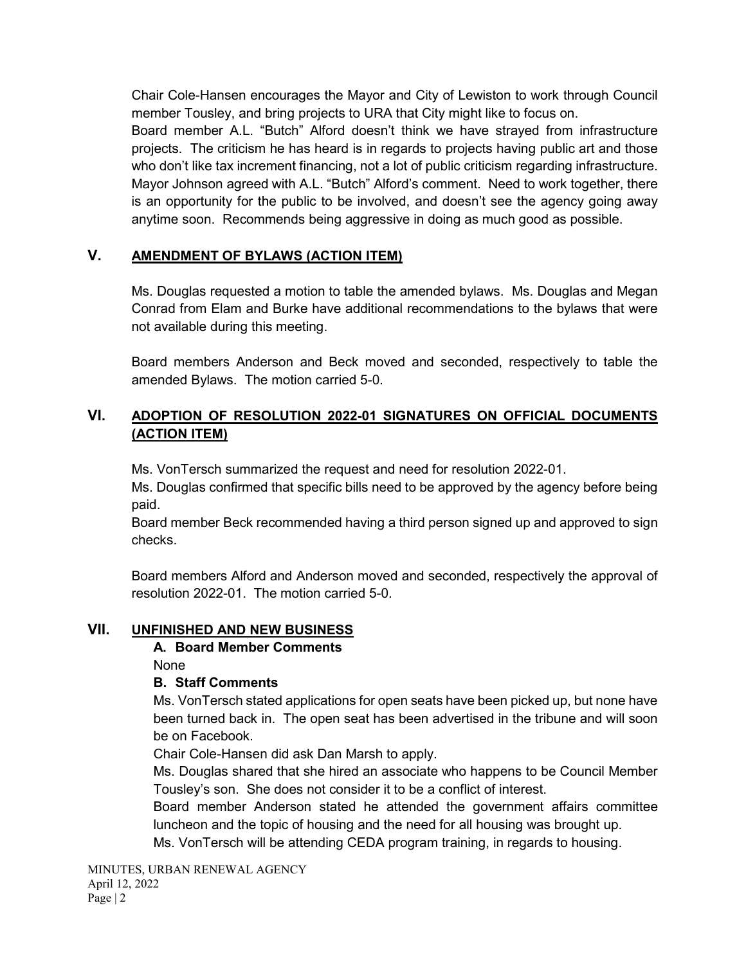Chair Cole-Hansen encourages the Mayor and City of Lewiston to work through Council member Tousley, and bring projects to URA that City might like to focus on.

Board member A.L. "Butch" Alford doesn't think we have strayed from infrastructure projects. The criticism he has heard is in regards to projects having public art and those who don't like tax increment financing, not a lot of public criticism regarding infrastructure. Mayor Johnson agreed with A.L. "Butch" Alford's comment. Need to work together, there is an opportunity for the public to be involved, and doesn't see the agency going away anytime soon. Recommends being aggressive in doing as much good as possible.

### **V. AMENDMENT OF BYLAWS (ACTION ITEM)**

Ms. Douglas requested a motion to table the amended bylaws. Ms. Douglas and Megan Conrad from Elam and Burke have additional recommendations to the bylaws that were not available during this meeting.

Board members Anderson and Beck moved and seconded, respectively to table the amended Bylaws. The motion carried 5-0.

# **VI. ADOPTION OF RESOLUTION 2022-01 SIGNATURES ON OFFICIAL DOCUMENTS (ACTION ITEM)**

Ms. VonTersch summarized the request and need for resolution 2022-01.

Ms. Douglas confirmed that specific bills need to be approved by the agency before being paid.

Board member Beck recommended having a third person signed up and approved to sign checks.

Board members Alford and Anderson moved and seconded, respectively the approval of resolution 2022-01. The motion carried 5-0.

### **VII. UNFINISHED AND NEW BUSINESS**

#### **A. Board Member Comments**

None

### **B. Staff Comments**

Ms. VonTersch stated applications for open seats have been picked up, but none have been turned back in. The open seat has been advertised in the tribune and will soon be on Facebook.

Chair Cole-Hansen did ask Dan Marsh to apply.

Ms. Douglas shared that she hired an associate who happens to be Council Member Tousley's son. She does not consider it to be a conflict of interest.

Board member Anderson stated he attended the government affairs committee luncheon and the topic of housing and the need for all housing was brought up.

Ms. VonTersch will be attending CEDA program training, in regards to housing.

MINUTES, URBAN RENEWAL AGENCY April 12, 2022 Page | 2